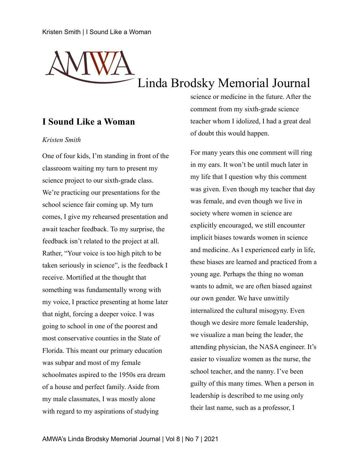# Linda Brodsky Memorial Journal

# **I Sound Like a Woman**

### *Kristen Smith*

One of four kids, I'm standing in front of the classroom waiting my turn to present my science project to our sixth-grade class. We're practicing our presentations for the school science fair coming up. My turn comes, I give my rehearsed presentation and await teacher feedback. To my surprise, the feedback isn't related to the project at all. Rather, "Your voice is too high pitch to be taken seriously in science", is the feedback I receive. Mortified at the thought that something was fundamentally wrong with my voice, I practice presenting at home later that night, forcing a deeper voice. I was going to school in one of the poorest and most conservative counties in the State of Florida. This meant our primary education was subpar and most of my female schoolmates aspired to the 1950s era dream of a house and perfect family. Aside from my male classmates, I was mostly alone with regard to my aspirations of studying

science or medicine in the future. After the comment from my sixth-grade science teacher whom I idolized, I had a great deal of doubt this would happen.

For many years this one comment will ring in my ears. It won't be until much later in my life that I question why this comment was given. Even though my teacher that day was female, and even though we live in society where women in science are explicitly encouraged, we still encounter implicit biases towards women in science and medicine. As I experienced early in life, these biases are learned and practiced from a young age. Perhaps the thing no woman wants to admit, we are often biased against our own gender. We have unwittily internalized the cultural misogyny. Even though we desire more female leadership, we visualize a man being the leader, the attending physician, the NASA engineer. It's easier to visualize women as the nurse, the school teacher, and the nanny. I've been guilty of this many times. When a person in leadership is described to me using only their last name, such as a professor, I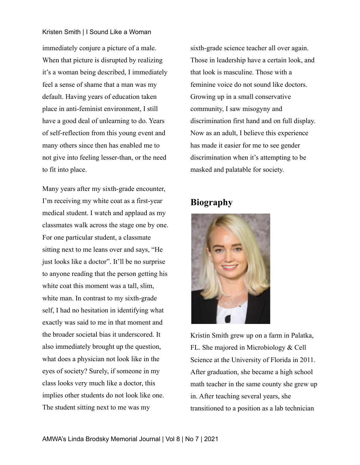### Kristen Smith | I Sound Like a Woman

immediately conjure a picture of a male. When that picture is disrupted by realizing it's a woman being described, I immediately feel a sense of shame that a man was my default. Having years of education taken place in anti-feminist environment, I still have a good deal of unlearning to do. Years of self-reflection from this young event and many others since then has enabled me to not give into feeling lesser-than, or the need to fit into place.

Many years after my sixth-grade encounter, I'm receiving my white coat as a first-year medical student. I watch and applaud as my classmates walk across the stage one by one. For one particular student, a classmate sitting next to me leans over and says, "He just looks like a doctor". It'll be no surprise to anyone reading that the person getting his white coat this moment was a tall, slim, white man. In contrast to my sixth-grade self, I had no hesitation in identifying what exactly was said to me in that moment and the broader societal bias it underscored. It also immediately brought up the question, what does a physician not look like in the eyes of society? Surely, if someone in my class looks very much like a doctor, this implies other students do not look like one. The student sitting next to me was my

sixth-grade science teacher all over again. Those in leadership have a certain look, and that look is masculine. Those with a feminine voice do not sound like doctors. Growing up in a small conservative community, I saw misogyny and discrimination first hand and on full display. Now as an adult, I believe this experience has made it easier for me to see gender discrimination when it's attempting to be masked and palatable for society.

# **Biography**



Kristin Smith grew up on a farm in Palatka, FL. She majored in Microbiology & Cell Science at the University of Florida in 2011. After graduation, she became a high school math teacher in the same county she grew up in. After teaching several years, she transitioned to a position as a lab technician